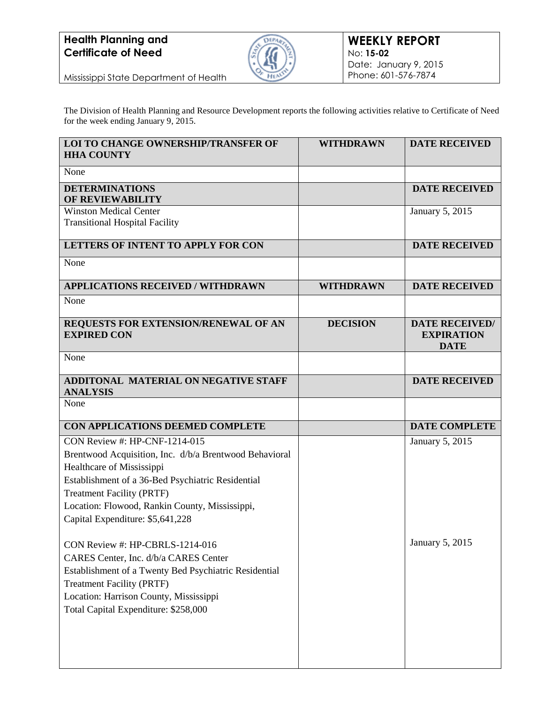

Mississippi State Department of Health

The Division of Health Planning and Resource Development reports the following activities relative to Certificate of Need for the week ending January 9, 2015.

| LOI TO CHANGE OWNERSHIP/TRANSFER OF<br><b>HHA COUNTY</b>                       | <b>WITHDRAWN</b> | <b>DATE RECEIVED</b>                                      |
|--------------------------------------------------------------------------------|------------------|-----------------------------------------------------------|
| None                                                                           |                  |                                                           |
| <b>DETERMINATIONS</b><br><b>OF REVIEWABILITY</b>                               |                  | <b>DATE RECEIVED</b>                                      |
| <b>Winston Medical Center</b><br><b>Transitional Hospital Facility</b>         |                  | January 5, 2015                                           |
| <b>LETTERS OF INTENT TO APPLY FOR CON</b>                                      |                  | <b>DATE RECEIVED</b>                                      |
| None                                                                           |                  |                                                           |
| <b>APPLICATIONS RECEIVED / WITHDRAWN</b>                                       | <b>WITHDRAWN</b> | <b>DATE RECEIVED</b>                                      |
| None                                                                           |                  |                                                           |
| REQUESTS FOR EXTENSION/RENEWAL OF AN<br><b>EXPIRED CON</b>                     | <b>DECISION</b>  | <b>DATE RECEIVED/</b><br><b>EXPIRATION</b><br><b>DATE</b> |
| None                                                                           |                  |                                                           |
| <b>ADDITONAL MATERIAL ON NEGATIVE STAFF</b><br><b>ANALYSIS</b>                 |                  | <b>DATE RECEIVED</b>                                      |
| None                                                                           |                  |                                                           |
| CON APPLICATIONS DEEMED COMPLETE                                               |                  | <b>DATE COMPLETE</b>                                      |
| CON Review #: HP-CNF-1214-015                                                  |                  | January 5, 2015                                           |
| Brentwood Acquisition, Inc. d/b/a Brentwood Behavioral                         |                  |                                                           |
| Healthcare of Mississippi<br>Establishment of a 36-Bed Psychiatric Residential |                  |                                                           |
| <b>Treatment Facility (PRTF)</b>                                               |                  |                                                           |
| Location: Flowood, Rankin County, Mississippi,                                 |                  |                                                           |
| Capital Expenditure: \$5,641,228                                               |                  |                                                           |
| CON Review #: HP-CBRLS-1214-016                                                |                  | January 5, 2015                                           |
| CARES Center, Inc. d/b/a CARES Center                                          |                  |                                                           |
| Establishment of a Twenty Bed Psychiatric Residential                          |                  |                                                           |
| <b>Treatment Facility (PRTF)</b>                                               |                  |                                                           |
| Location: Harrison County, Mississippi                                         |                  |                                                           |
| Total Capital Expenditure: \$258,000                                           |                  |                                                           |
|                                                                                |                  |                                                           |
|                                                                                |                  |                                                           |
|                                                                                |                  |                                                           |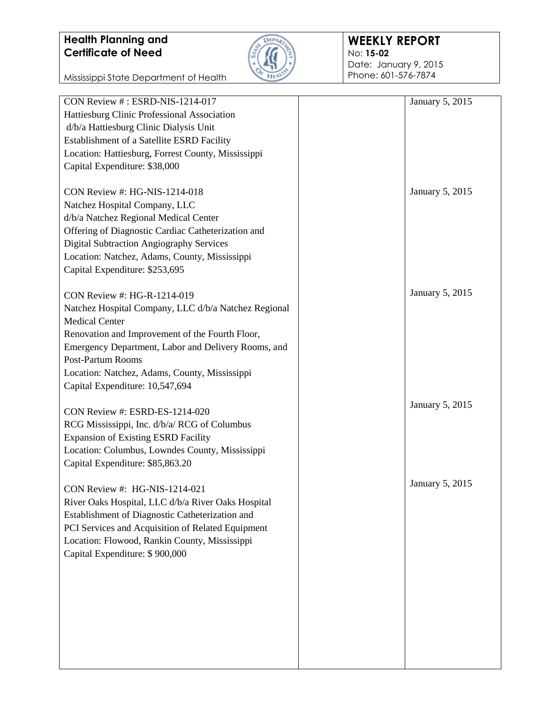Mississippi State Department of Health



#### **WEEKLY REPORT** No: **15-02**

Date: January 9, 2015 Phone: 601-576-7874

| CON Review #: ESRD-NIS-1214-017                      | January 5, 2015 |
|------------------------------------------------------|-----------------|
| Hattiesburg Clinic Professional Association          |                 |
| d/b/a Hattiesburg Clinic Dialysis Unit               |                 |
| Establishment of a Satellite ESRD Facility           |                 |
| Location: Hattiesburg, Forrest County, Mississippi   |                 |
| Capital Expenditure: \$38,000                        |                 |
|                                                      |                 |
| CON Review #: HG-NIS-1214-018                        | January 5, 2015 |
|                                                      |                 |
| Natchez Hospital Company, LLC                        |                 |
| d/b/a Natchez Regional Medical Center                |                 |
| Offering of Diagnostic Cardiac Catheterization and   |                 |
| <b>Digital Subtraction Angiography Services</b>      |                 |
| Location: Natchez, Adams, County, Mississippi        |                 |
| Capital Expenditure: \$253,695                       |                 |
|                                                      |                 |
| CON Review #: HG-R-1214-019                          | January 5, 2015 |
| Natchez Hospital Company, LLC d/b/a Natchez Regional |                 |
| <b>Medical Center</b>                                |                 |
| Renovation and Improvement of the Fourth Floor,      |                 |
| Emergency Department, Labor and Delivery Rooms, and  |                 |
| <b>Post-Partum Rooms</b>                             |                 |
| Location: Natchez, Adams, County, Mississippi        |                 |
| Capital Expenditure: 10,547,694                      |                 |
|                                                      |                 |
| CON Review #: ESRD-ES-1214-020                       | January 5, 2015 |
|                                                      |                 |
| RCG Mississippi, Inc. d/b/a/ RCG of Columbus         |                 |
| <b>Expansion of Existing ESRD Facility</b>           |                 |
| Location: Columbus, Lowndes County, Mississippi      |                 |
| Capital Expenditure: \$85,863.20                     |                 |
|                                                      | January 5, 2015 |
| CON Review #: HG-NIS-1214-021                        |                 |
| River Oaks Hospital, LLC d/b/a River Oaks Hospital   |                 |
| Establishment of Diagnostic Catheterization and      |                 |
| PCI Services and Acquisition of Related Equipment    |                 |
| Location: Flowood, Rankin County, Mississippi        |                 |
| Capital Expenditure: \$900,000                       |                 |
|                                                      |                 |
|                                                      |                 |
|                                                      |                 |
|                                                      |                 |
|                                                      |                 |
|                                                      |                 |
|                                                      |                 |
|                                                      |                 |
|                                                      |                 |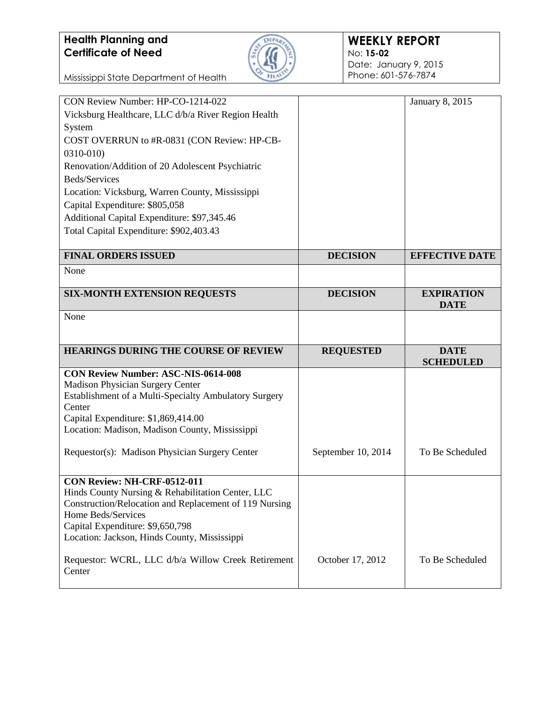

#### **WEEKLY REPORT** No: **15-02** Date: January 9, 2015 Phone: 601-576-7874

| CON Review Number: HP-CO-1214-022                      |                    | January 8, 2015                 |
|--------------------------------------------------------|--------------------|---------------------------------|
| Vicksburg Healthcare, LLC d/b/a River Region Health    |                    |                                 |
| System                                                 |                    |                                 |
| COST OVERRUN to #R-0831 (CON Review: HP-CB-            |                    |                                 |
| 0310-010)                                              |                    |                                 |
| Renovation/Addition of 20 Adolescent Psychiatric       |                    |                                 |
| Beds/Services                                          |                    |                                 |
| Location: Vicksburg, Warren County, Mississippi        |                    |                                 |
| Capital Expenditure: \$805,058                         |                    |                                 |
| Additional Capital Expenditure: \$97,345.46            |                    |                                 |
| Total Capital Expenditure: \$902,403.43                |                    |                                 |
|                                                        |                    |                                 |
| <b>FINAL ORDERS ISSUED</b>                             | <b>DECISION</b>    | <b>EFFECTIVE DATE</b>           |
| None                                                   |                    |                                 |
| <b>SIX-MONTH EXTENSION REQUESTS</b>                    | <b>DECISION</b>    | <b>EXPIRATION</b>               |
|                                                        |                    | <b>DATE</b>                     |
| None                                                   |                    |                                 |
|                                                        |                    |                                 |
|                                                        |                    |                                 |
|                                                        |                    |                                 |
| HEARINGS DURING THE COURSE OF REVIEW                   | <b>REQUESTED</b>   | <b>DATE</b><br><b>SCHEDULED</b> |
| <b>CON Review Number: ASC-NIS-0614-008</b>             |                    |                                 |
| <b>Madison Physician Surgery Center</b>                |                    |                                 |
| Establishment of a Multi-Specialty Ambulatory Surgery  |                    |                                 |
| Center                                                 |                    |                                 |
| Capital Expenditure: \$1,869,414.00                    |                    |                                 |
| Location: Madison, Madison County, Mississippi         |                    |                                 |
| Requestor(s): Madison Physician Surgery Center         | September 10, 2014 | To Be Scheduled                 |
|                                                        |                    |                                 |
| CON Review: NH-CRF-0512-011                            |                    |                                 |
| Hinds County Nursing & Rehabilitation Center, LLC      |                    |                                 |
| Construction/Relocation and Replacement of 119 Nursing |                    |                                 |
| Home Beds/Services                                     |                    |                                 |
| Capital Expenditure: \$9,650,798                       |                    |                                 |
| Location: Jackson, Hinds County, Mississippi           |                    |                                 |
| Requestor: WCRL, LLC d/b/a Willow Creek Retirement     | October 17, 2012   | To Be Scheduled                 |
| Center                                                 |                    |                                 |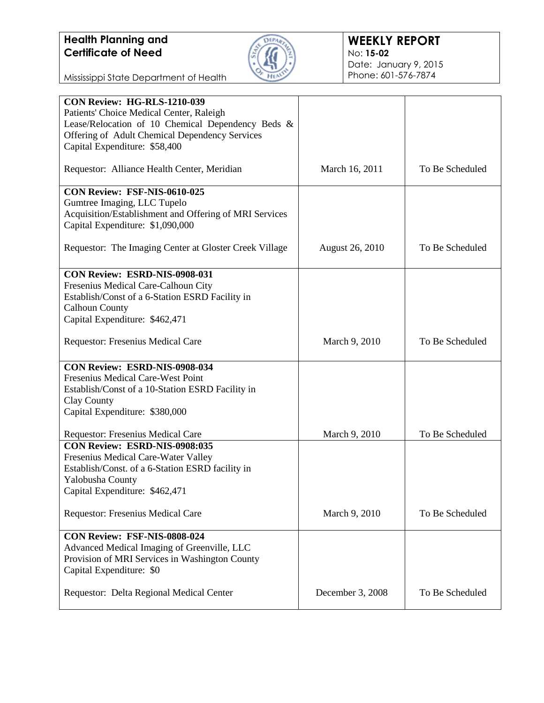

| <b>CON Review: HG-RLS-1210-039</b>                     |                        |                 |
|--------------------------------------------------------|------------------------|-----------------|
| Patients' Choice Medical Center, Raleigh               |                        |                 |
| Lease/Relocation of 10 Chemical Dependency Beds &      |                        |                 |
| Offering of Adult Chemical Dependency Services         |                        |                 |
| Capital Expenditure: \$58,400                          |                        |                 |
|                                                        |                        |                 |
| Requestor: Alliance Health Center, Meridian            | March 16, 2011         | To Be Scheduled |
| CON Review: FSF-NIS-0610-025                           |                        |                 |
| Gumtree Imaging, LLC Tupelo                            |                        |                 |
| Acquisition/Establishment and Offering of MRI Services |                        |                 |
| Capital Expenditure: \$1,090,000                       |                        |                 |
|                                                        |                        |                 |
| Requestor: The Imaging Center at Gloster Creek Village | <b>August 26, 2010</b> | To Be Scheduled |
|                                                        |                        |                 |
| CON Review: ESRD-NIS-0908-031                          |                        |                 |
| Fresenius Medical Care-Calhoun City                    |                        |                 |
| Establish/Const of a 6-Station ESRD Facility in        |                        |                 |
| <b>Calhoun County</b>                                  |                        |                 |
| Capital Expenditure: \$462,471                         |                        |                 |
| Requestor: Fresenius Medical Care                      | March 9, 2010          | To Be Scheduled |
|                                                        |                        |                 |
| CON Review: ESRD-NIS-0908-034                          |                        |                 |
| Fresenius Medical Care-West Point                      |                        |                 |
| Establish/Const of a 10-Station ESRD Facility in       |                        |                 |
| Clay County                                            |                        |                 |
| Capital Expenditure: \$380,000                         |                        |                 |
|                                                        |                        |                 |
| Requestor: Fresenius Medical Care                      | March 9, 2010          | To Be Scheduled |
| CON Review: ESRD-NIS-0908:035                          |                        |                 |
| Fresenius Medical Care-Water Valley                    |                        |                 |
| Establish/Const. of a 6-Station ESRD facility in       |                        |                 |
| Yalobusha County                                       |                        |                 |
| Capital Expenditure: \$462,471                         |                        |                 |
| <b>Requestor: Fresenius Medical Care</b>               | March 9, 2010          | To Be Scheduled |
|                                                        |                        |                 |
| CON Review: FSF-NIS-0808-024                           |                        |                 |
| Advanced Medical Imaging of Greenville, LLC            |                        |                 |
| Provision of MRI Services in Washington County         |                        |                 |
| Capital Expenditure: \$0                               |                        |                 |
|                                                        |                        |                 |
| Requestor: Delta Regional Medical Center               | December 3, 2008       | To Be Scheduled |
|                                                        |                        |                 |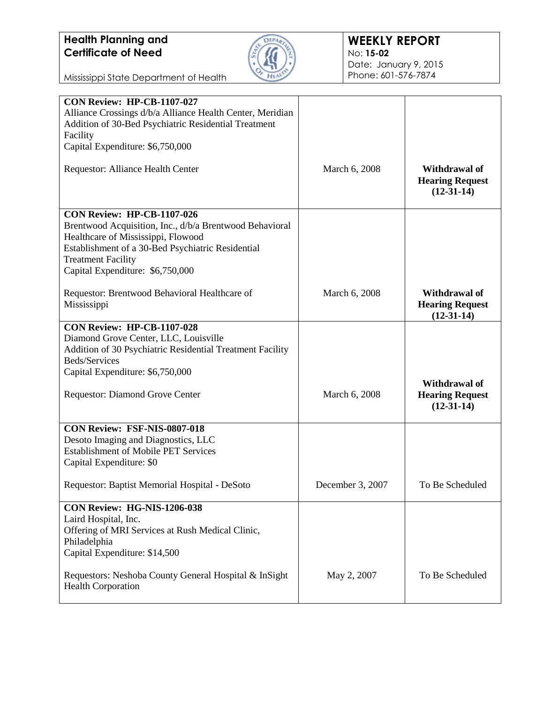

| <b>CON Review: HP-CB-1107-027</b>                                                                                                                  |                  |                                                                |
|----------------------------------------------------------------------------------------------------------------------------------------------------|------------------|----------------------------------------------------------------|
| Alliance Crossings d/b/a Alliance Health Center, Meridian                                                                                          |                  |                                                                |
| Addition of 30-Bed Psychiatric Residential Treatment                                                                                               |                  |                                                                |
| Facility                                                                                                                                           |                  |                                                                |
| Capital Expenditure: \$6,750,000                                                                                                                   |                  |                                                                |
| Requestor: Alliance Health Center                                                                                                                  | March 6, 2008    | <b>Withdrawal of</b><br><b>Hearing Request</b><br>$(12-31-14)$ |
| CON Review: HP-CB-1107-026                                                                                                                         |                  |                                                                |
| Brentwood Acquisition, Inc., d/b/a Brentwood Behavioral<br>Healthcare of Mississippi, Flowood<br>Establishment of a 30-Bed Psychiatric Residential |                  |                                                                |
| <b>Treatment Facility</b>                                                                                                                          |                  |                                                                |
| Capital Expenditure: \$6,750,000                                                                                                                   |                  |                                                                |
|                                                                                                                                                    |                  |                                                                |
| Requestor: Brentwood Behavioral Healthcare of<br>Mississippi                                                                                       | March 6, 2008    | <b>Withdrawal of</b><br><b>Hearing Request</b><br>$(12-31-14)$ |
| <b>CON Review: HP-CB-1107-028</b>                                                                                                                  |                  |                                                                |
| Diamond Grove Center, LLC, Louisville                                                                                                              |                  |                                                                |
| Addition of 30 Psychiatric Residential Treatment Facility                                                                                          |                  |                                                                |
| Beds/Services                                                                                                                                      |                  |                                                                |
| Capital Expenditure: \$6,750,000                                                                                                                   |                  |                                                                |
| Requestor: Diamond Grove Center                                                                                                                    | March 6, 2008    | <b>Withdrawal of</b><br><b>Hearing Request</b><br>$(12-31-14)$ |
| CON Review: FSF-NIS-0807-018                                                                                                                       |                  |                                                                |
| Desoto Imaging and Diagnostics, LLC                                                                                                                |                  |                                                                |
| <b>Establishment of Mobile PET Services</b>                                                                                                        |                  |                                                                |
| Capital Expenditure: \$0                                                                                                                           |                  |                                                                |
| Requestor: Baptist Memorial Hospital - DeSoto                                                                                                      | December 3, 2007 | To Be Scheduled                                                |
| CON Review: HG-NIS-1206-038                                                                                                                        |                  |                                                                |
| Laird Hospital, Inc.                                                                                                                               |                  |                                                                |
| Offering of MRI Services at Rush Medical Clinic,                                                                                                   |                  |                                                                |
| Philadelphia                                                                                                                                       |                  |                                                                |
| Capital Expenditure: \$14,500                                                                                                                      |                  |                                                                |
| Requestors: Neshoba County General Hospital & InSight<br><b>Health Corporation</b>                                                                 | May 2, 2007      | To Be Scheduled                                                |